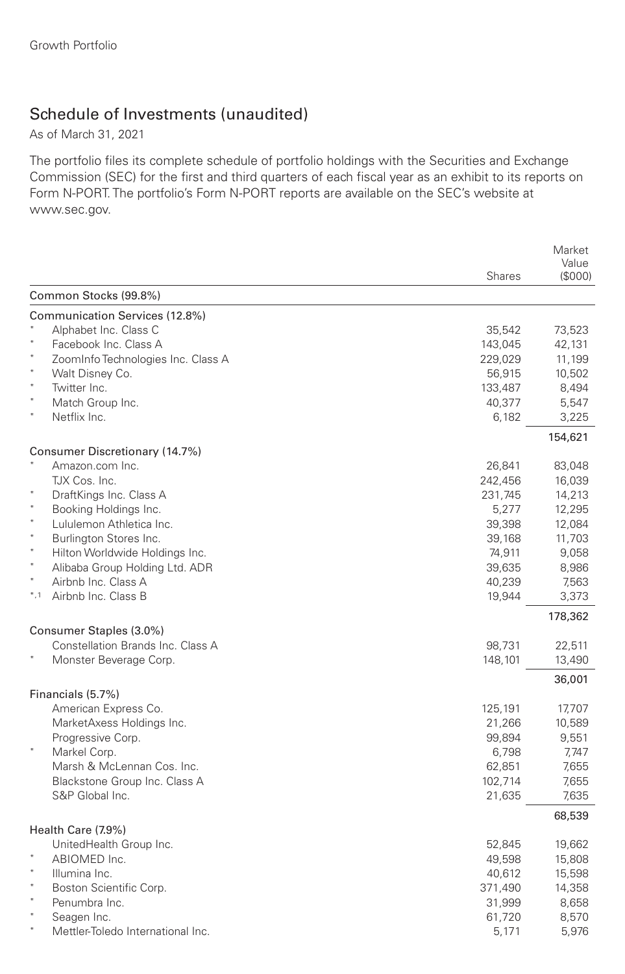## Schedule of Investments (unaudited)

As of March 31, 2021

The portfolio files its complete schedule of portfolio holdings with the Securities and Exchange Commission (SEC) for the first and third quarters of each fiscal year as an exhibit to its reports on Form N-PORT. The portfolio's Form N-PORT reports are available on the SEC's website at www.sec.gov.

|                                                              |               | Market<br>Value |
|--------------------------------------------------------------|---------------|-----------------|
|                                                              | <b>Shares</b> | (\$000)         |
| Common Stocks (99.8%)                                        |               |                 |
| Communication Services (12.8%)                               |               |                 |
| Alphabet Inc. Class C                                        | 35,542        | 73,523          |
| Facebook Inc. Class A                                        | 143,045       | 42,131          |
| ZoomInfo Technologies Inc. Class A                           | 229,029       | 11,199          |
| $\ast$<br>Walt Disney Co.                                    | 56,915        | 10,502          |
| Twitter Inc.                                                 | 133,487       | 8,494           |
| Match Group Inc.                                             | 40,377        | 5,547           |
| Netflix Inc.                                                 | 6,182         | 3,225           |
|                                                              |               | 154,621         |
| Consumer Discretionary (14.7%)                               |               |                 |
| Amazon.com Inc.                                              | 26,841        | 83,048          |
| TJX Cos. Inc.                                                | 242,456       | 16,039          |
| DraftKings Inc. Class A                                      | 231,745       | 14,213          |
| $\star$<br>Booking Holdings Inc.                             | 5,277         | 12,295          |
| $\star$<br>Lululemon Athletica Inc.                          | 39,398        | 12,084          |
| $\ast$<br>Burlington Stores Inc.                             | 39,168        | 11,703          |
| $\ast$<br>Hilton Worldwide Holdings Inc.                     | 74,911        | 9,058           |
| $\ast$<br>Alibaba Group Holding Ltd. ADR                     | 39,635        | 8,986           |
| $\star$<br>Airbnb Inc. Class A                               | 40,239        | 7,563           |
| $*,1$<br>Airbnb Inc. Class B                                 | 19,944        | 3,373           |
|                                                              |               | 178,362         |
| Consumer Staples (3.0%)<br>Constellation Brands Inc. Class A |               |                 |
|                                                              | 98,731        | 22,511          |
| Monster Beverage Corp.                                       | 148,101       | 13,490          |
| Financials (5.7%)                                            |               | 36,001          |
| American Express Co.                                         | 125,191       | 17,707          |
| MarketAxess Holdings Inc.                                    | 21,266        | 10,589          |
| Progressive Corp.                                            | 99,894        | 9,551           |
| $\ast$<br>Markel Corp.                                       | 6,798         | 7,747           |
| Marsh & McLennan Cos. Inc.                                   | 62,851        | 7,655           |
| Blackstone Group Inc. Class A                                | 102,714       | 7,655           |
| S&P Global Inc.                                              | 21,635        | 7,635           |
|                                                              |               | 68,539          |
| Health Care (7.9%)                                           |               |                 |
| UnitedHealth Group Inc.                                      | 52,845        | 19,662          |
| ABIOMED Inc.                                                 | 49,598        | 15,808          |
| $\star$<br>Illumina Inc.                                     | 40,612        | 15,598          |
| Boston Scientific Corp.                                      | 371,490       | 14,358          |
| Penumbra Inc.                                                | 31,999        | 8,658           |
| Seagen Inc.                                                  | 61,720        | 8,570           |
| Mettler-Toledo International Inc.                            | 5,171         | 5,976           |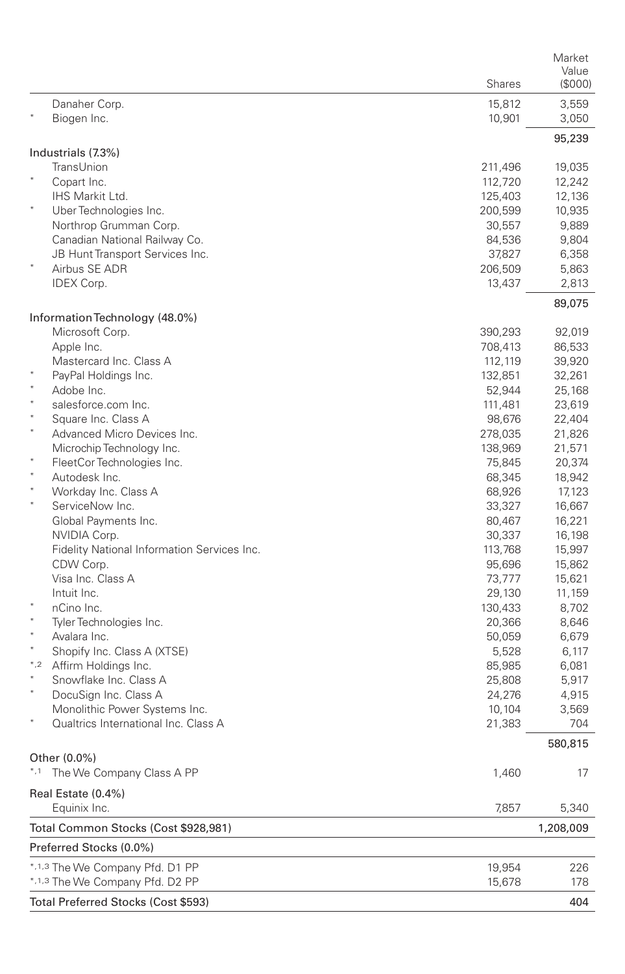|              |                                                     | <b>Shares</b>      | Market<br>Value<br>(000) |  |
|--------------|-----------------------------------------------------|--------------------|--------------------------|--|
|              | Danaher Corp.<br>Biogen Inc.                        | 15,812<br>10,901   | 3,559<br>3,050           |  |
|              |                                                     |                    | 95,239                   |  |
|              | Industrials (7.3%)                                  |                    |                          |  |
|              | TransUnion<br>Copart Inc.                           | 211,496<br>112,720 | 19,035<br>12,242         |  |
|              | IHS Markit Ltd.                                     | 125,403            | 12,136                   |  |
|              | Uber Technologies Inc.                              | 200,599            | 10,935                   |  |
|              | Northrop Grumman Corp.                              | 30,557             | 9,889                    |  |
|              | Canadian National Railway Co.                       | 84,536             | 9,804                    |  |
|              | JB Hunt Transport Services Inc.                     | 37,827             | 6,358                    |  |
|              | Airbus SE ADR                                       | 206,509            | 5,863                    |  |
|              | IDEX Corp.                                          | 13,437             | 2,813<br>89,075          |  |
|              | Information Technology (48.0%)                      |                    |                          |  |
|              | Microsoft Corp.                                     | 390,293            | 92,019                   |  |
|              | Apple Inc.                                          | 708,413            | 86,533                   |  |
|              | Mastercard Inc. Class A                             | 112,119            | 39,920                   |  |
|              | PayPal Holdings Inc.<br>Adobe Inc.                  | 132,851            | 32,261                   |  |
|              | salesforce.com Inc.                                 | 52,944<br>111,481  | 25,168<br>23,619         |  |
| $\ast$       | Square Inc. Class A                                 | 98,676             | 22,404                   |  |
|              | Advanced Micro Devices Inc.                         | 278,035            | 21,826                   |  |
|              | Microchip Technology Inc.                           | 138,969            | 21,571                   |  |
|              | FleetCor Technologies Inc.                          | 75,845             | 20,374                   |  |
|              | Autodesk Inc.                                       | 68,345             | 18,942                   |  |
|              | Workday Inc. Class A                                | 68,926             | 17,123                   |  |
|              | ServiceNow Inc.                                     | 33,327             | 16,667                   |  |
|              | Global Payments Inc.<br>NVIDIA Corp.                | 80,467<br>30,337   | 16,221<br>16,198         |  |
|              | Fidelity National Information Services Inc.         | 113,768            | 15,997                   |  |
|              | CDW Corp.                                           | 95,696             | 15,862                   |  |
|              | Visa Inc. Class A                                   | 73,777             | 15,621                   |  |
|              | Intuit Inc.                                         | 29,130             | 11,159                   |  |
|              | nCino Inc.                                          | 130,433            | 8,702                    |  |
|              | Tyler Technologies Inc.                             | 20,366             | 8,646                    |  |
| ×<br>$\star$ | Avalara Inc.                                        | 50,059             | 6,679                    |  |
| $^*,2$       | Shopify Inc. Class A (XTSE)<br>Affirm Holdings Inc. | 5,528<br>85,985    | 6,117<br>6,081           |  |
|              | Snowflake Inc. Class A                              | 25,808             | 5,917                    |  |
|              | DocuSign Inc. Class A                               | 24,276             | 4,915                    |  |
|              | Monolithic Power Systems Inc.                       | 10,104             | 3,569                    |  |
|              | Qualtrics International Inc. Class A                | 21,383             | 704                      |  |
|              |                                                     |                    | 580,815                  |  |
|              | Other (0.0%)<br>*.1 The We Company Class A PP       | 1,460              | 17                       |  |
|              |                                                     |                    |                          |  |
|              | Real Estate (0.4%)<br>Equinix Inc.                  | 7,857              | 5,340                    |  |
|              | Total Common Stocks (Cost \$928,981)                |                    | 1,208,009                |  |
|              | Preferred Stocks (0.0%)                             |                    |                          |  |
|              | *,1,3 The We Company Pfd. D1 PP                     | 19,954             | 226                      |  |
|              | *,1,3 The We Company Pfd. D2 PP                     | 15,678             | 178                      |  |
|              | Total Preferred Stocks (Cost \$593)                 |                    | 404                      |  |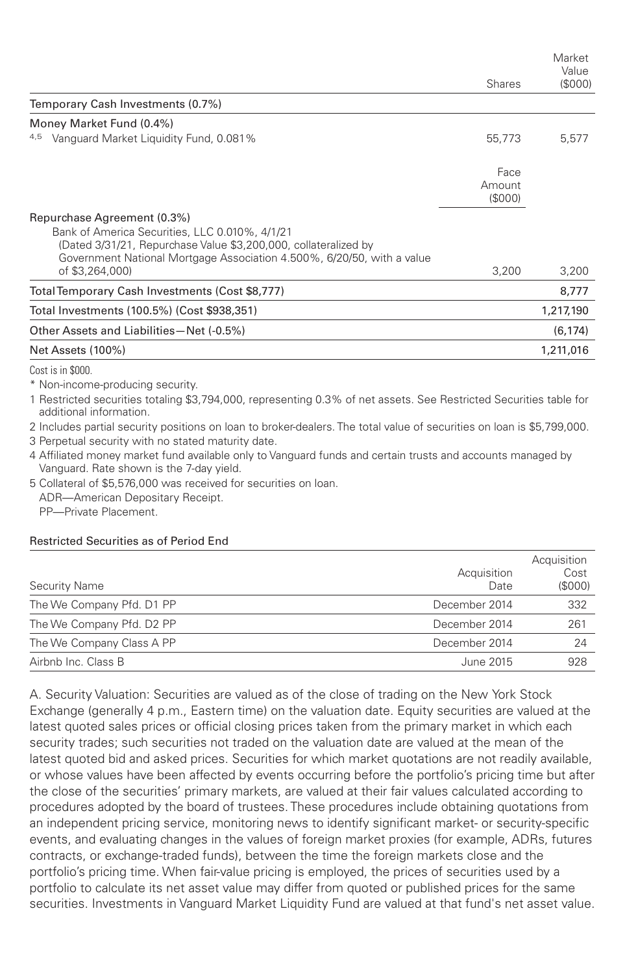|                                                                                                                                                        |         | Market<br>Value |
|--------------------------------------------------------------------------------------------------------------------------------------------------------|---------|-----------------|
|                                                                                                                                                        | Shares  | (\$000)         |
| Temporary Cash Investments (0.7%)                                                                                                                      |         |                 |
| Money Market Fund (0.4%)                                                                                                                               |         |                 |
| 4,5 Vanguard Market Liquidity Fund, 0.081%                                                                                                             | 55,773  | 5,577           |
|                                                                                                                                                        | Face    |                 |
|                                                                                                                                                        | Amount  |                 |
|                                                                                                                                                        | (\$000) |                 |
| Repurchase Agreement (0.3%)                                                                                                                            |         |                 |
| Bank of America Securities, LLC 0.010%, 4/1/21                                                                                                         |         |                 |
| (Dated 3/31/21, Repurchase Value \$3,200,000, collateralized by                                                                                        |         |                 |
| Government National Mortgage Association 4.500%, 6/20/50, with a value<br>of \$3,264,000)                                                              | 3,200   | 3,200           |
| Total Temporary Cash Investments (Cost \$8,777)                                                                                                        |         | 8,777           |
| Total Investments (100.5%) (Cost \$938,351)                                                                                                            |         | 1,217,190       |
| Other Assets and Liabilities-Net (-0.5%)                                                                                                               |         | (6, 174)        |
| Net Assets (100%)                                                                                                                                      |         | 1,211,016       |
| Cost is in \$000.                                                                                                                                      |         |                 |
| * Non-income-producing security.                                                                                                                       |         |                 |
| 1 Restricted securities totaling \$3,794,000, representing 0.3% of net assets. See Restricted Securities table for<br>additional information.          |         |                 |
| 2 Includes partial security positions on loan to broker-dealers. The total value of securities on loan is \$5,799,000.                                 |         |                 |
| 3 Perpetual security with no stated maturity date.                                                                                                     |         |                 |
| 4 Affiliated money market fund available only to Vanguard funds and certain trusts and accounts managed by<br>Vanguard. Rate shown is the 7-day yield. |         |                 |

5 Collateral of \$5,576,000 was received for securities on loan. ADR—American Depositary Receipt.

PP—Private Placement.

## Restricted Securities as of Period End

| <b>Security Name</b>      | Acquisition<br>Date | Acquisition<br>Cost<br>(S000) |
|---------------------------|---------------------|-------------------------------|
| The We Company Pfd. D1 PP | December 2014       | 332                           |
| The We Company Pfd. D2 PP | December 2014       | 261                           |
| The We Company Class A PP | December 2014       | 24                            |
| Airbnb Inc. Class B       | June 2015           | 928                           |

A. Security Valuation: Securities are valued as of the close of trading on the New York Stock Exchange (generally 4 p.m., Eastern time) on the valuation date. Equity securities are valued at the latest quoted sales prices or official closing prices taken from the primary market in which each security trades; such securities not traded on the valuation date are valued at the mean of the latest quoted bid and asked prices. Securities for which market quotations are not readily available, or whose values have been affected by events occurring before the portfolio's pricing time but after the close of the securities' primary markets, are valued at their fair values calculated according to procedures adopted by the board of trustees. These procedures include obtaining quotations from an independent pricing service, monitoring news to identify significant market- or security-specific events, and evaluating changes in the values of foreign market proxies (for example, ADRs, futures contracts, or exchange-traded funds), between the time the foreign markets close and the portfolio's pricing time. When fair-value pricing is employed, the prices of securities used by a portfolio to calculate its net asset value may differ from quoted or published prices for the same securities. Investments in Vanguard Market Liquidity Fund are valued at that fund's net asset value.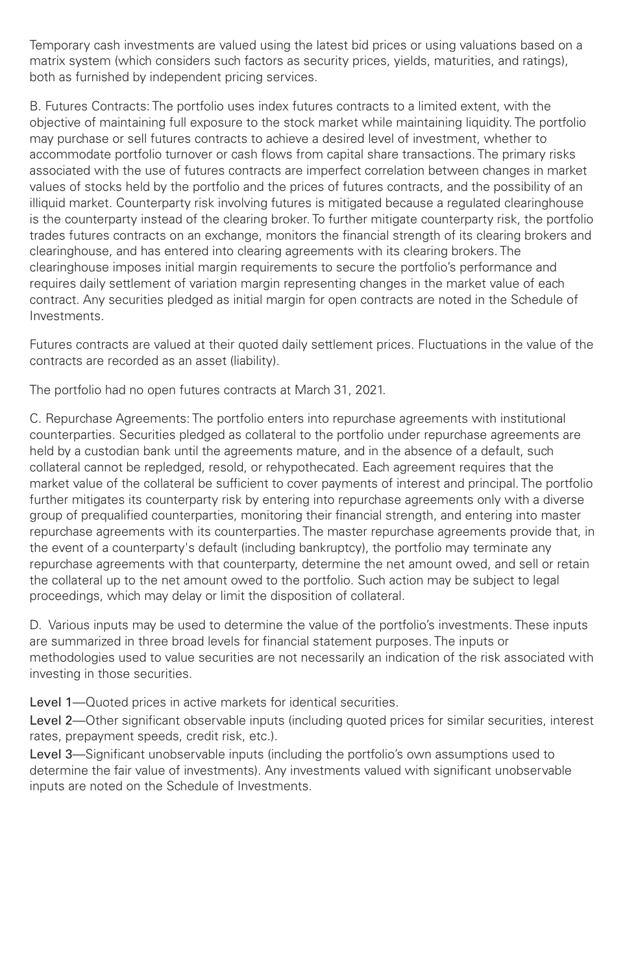Temporary cash investments are valued using the latest bid prices or using valuations based on a matrix system (which considers such factors as security prices, yields, maturities, and ratings), both as furnished by independent pricing services.

B. Futures Contracts: The portfolio uses index futures contracts to a limited extent, with the objective of maintaining full exposure to the stock market while maintaining liquidity. The portfolio may purchase or sell futures contracts to achieve a desired level of investment, whether to accommodate portfolio turnover or cash flows from capital share transactions. The primary risks associated with the use of futures contracts are imperfect correlation between changes in market values of stocks held by the portfolio and the prices of futures contracts, and the possibility of an illiquid market. Counterparty risk involving futures is mitigated because a regulated clearinghouse is the counterparty instead of the clearing broker. To further mitigate counterparty risk, the portfolio trades futures contracts on an exchange, monitors the financial strength of its clearing brokers and clearinghouse, and has entered into clearing agreements with its clearing brokers. The clearinghouse imposes initial margin requirements to secure the portfolio's performance and requires daily settlement of variation margin representing changes in the market value of each contract. Any securities pledged as initial margin for open contracts are noted in the Schedule of Investments.

Futures contracts are valued at their quoted daily settlement prices. Fluctuations in the value of the contracts are recorded as an asset (liability).

The portfolio had no open futures contracts at March 31, 2021.

C. Repurchase Agreements: The portfolio enters into repurchase agreements with institutional counterparties. Securities pledged as collateral to the portfolio under repurchase agreements are held by a custodian bank until the agreements mature, and in the absence of a default, such collateral cannot be repledged, resold, or rehypothecated. Each agreement requires that the market value of the collateral be sufficient to cover payments of interest and principal. The portfolio further mitigates its counterparty risk by entering into repurchase agreements only with a diverse group of prequalified counterparties, monitoring their financial strength, and entering into master repurchase agreements with its counterparties. The master repurchase agreements provide that, in the event of a counterparty's default (including bankruptcy), the portfolio may terminate any repurchase agreements with that counterparty, determine the net amount owed, and sell or retain the collateral up to the net amount owed to the portfolio. Such action may be subject to legal proceedings, which may delay or limit the disposition of collateral.

D. Various inputs may be used to determine the value of the portfolio's investments. These inputs are summarized in three broad levels for financial statement purposes. The inputs or methodologies used to value securities are not necessarily an indication of the risk associated with investing in those securities.

Level 1—Quoted prices in active markets for identical securities.

Level 2—Other significant observable inputs (including quoted prices for similar securities, interest rates, prepayment speeds, credit risk, etc.).

Level 3—Significant unobservable inputs (including the portfolio's own assumptions used to determine the fair value of investments). Any investments valued with significant unobservable inputs are noted on the Schedule of Investments.